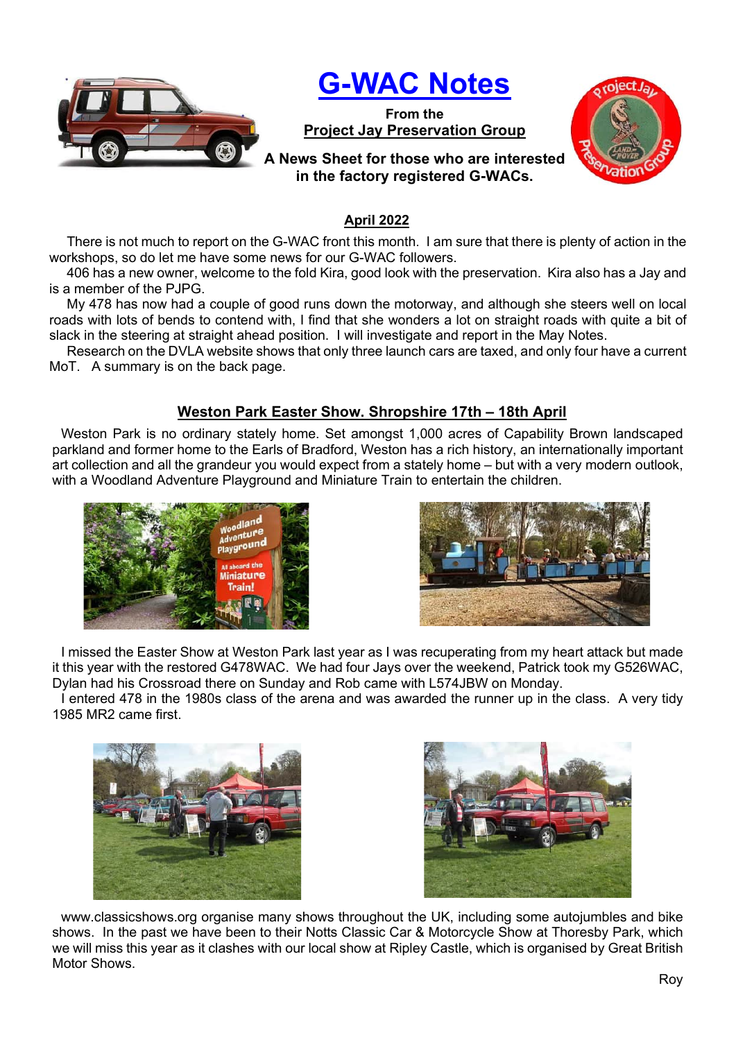

# G-WAC Notes

From the Project Jay Preservation Group



## A News Sheet for those who are interested in the factory registered G-WACs.

#### April 2022

There is not much to report on the G-WAC front this month. I am sure that there is plenty of action in the workshops, so do let me have some news for our G-WAC followers.

406 has a new owner, welcome to the fold Kira, good look with the preservation. Kira also has a Jay and is a member of the PJPG.

My 478 has now had a couple of good runs down the motorway, and although she steers well on local roads with lots of bends to contend with, I find that she wonders a lot on straight roads with quite a bit of slack in the steering at straight ahead position. I will investigate and report in the May Notes.

Research on the DVLA website shows that only three launch cars are taxed, and only four have a current MoT. A summary is on the back page.

## Weston Park Easter Show. Shropshire 17th – 18th April

Weston Park is no ordinary stately home. Set amongst 1,000 acres of Capability Brown landscaped parkland and former home to the Earls of Bradford, Weston has a rich history, an internationally important art collection and all the grandeur you would expect from a stately home – but with a very modern outlook, with a Woodland Adventure Playground and Miniature Train to entertain the children.





I missed the Easter Show at Weston Park last year as I was recuperating from my heart attack but made it this year with the restored G478WAC. We had four Jays over the weekend, Patrick took my G526WAC, Dylan had his Crossroad there on Sunday and Rob came with L574JBW on Monday.

I entered 478 in the 1980s class of the arena and was awarded the runner up in the class. A very tidy 1985 MR2 came first.





www.classicshows.org organise many shows throughout the UK, including some autojumbles and bike shows. In the past we have been to their Notts Classic Car & Motorcycle Show at Thoresby Park, which we will miss this year as it clashes with our local show at Ripley Castle, which is organised by Great British Motor Shows.